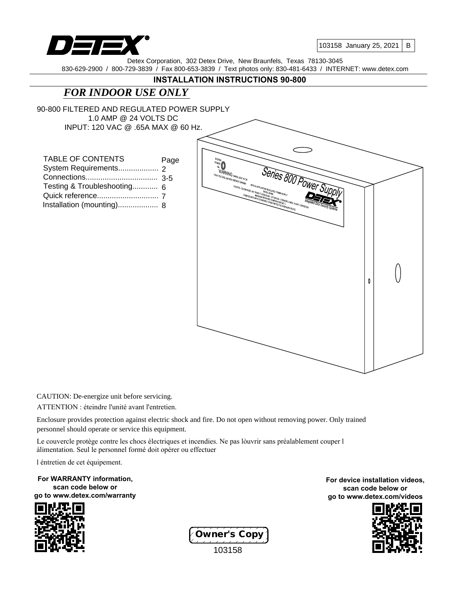

103158 January 25, 2021

B

Detex Corporation, 302 Detex Drive, New Braunfels, Texas 78130-3045 830-629-2900 / 800-729-3839 / Fax 800-653-3839 / Text photos only: 830-481-6433 / INTERNET: www.detex.com

## **INSTALLATION INSTRUCTIONS 90-800**

# *FOR INDOOR USE ONLY*

90-800 FILTERED AND REGULATED POWER SUPPLY 1.0 AMP @ 24 VOLTS DC INPUT: 120 VAC @ .65A MAX @ 60 Hz.

| <b>TABLE OF CONTENTS</b>    | Page |
|-----------------------------|------|
|                             |      |
|                             |      |
| Testing & Troubleshooting 6 |      |
|                             |      |
| Installation (mounting) 8   |      |



CAUTION: De-energize unit before servicing.

ATTENTION : éteindre l'unité avant l'entretien.

Enclosure provides protection against electric shock and fire. Do not open without removing power. Only trained personnel should operate or service this equipment.

Le couvercle protège contre les chocs électriques et incendies. Ne pas lòuvrir sans préalablement couper l àlimentation. Seul le personnel formé doit opérer ou effectuer

l éntretien de cet équipement.

**For WARRANTY information, scan code below or go to www.detex.com/warranty**





**For device installation videos, scan code below or go to www.detex.com/videos**

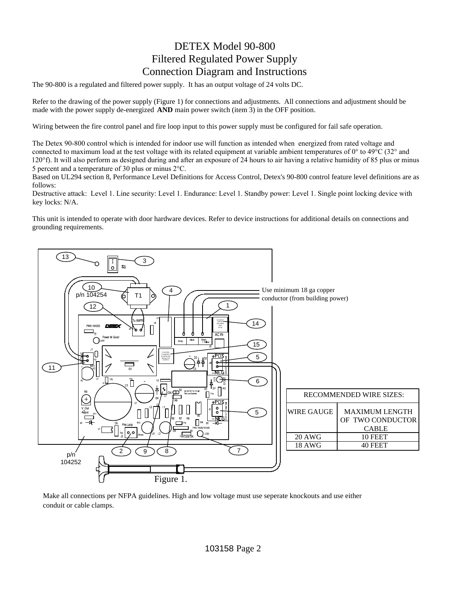# DETEX Model 90-800 Filtered Regulated Power Supply Connection Diagram and Instructions

The 90-800 is a regulated and filtered power supply. It has an output voltage of 24 volts DC.

Refer to the drawing of the power supply (Figure 1) for connections and adjustments. All connections and adjustment should be made with the power supply de-energized **AND** main power switch (item 3) in the OFF position.

Wiring between the fire control panel and fire loop input to this power supply must be configured for fail safe operation.

The Detex 90-800 control which is intended for indoor use will function as intended when energized from rated voltage and connected to maximum load at the test voltage with its related equipment at variable ambient temperatures of  $0^\circ$  to  $49^\circ$ C (32° and 120°f). It will also perform as designed during and after an exposure of 24 hours to air having a relative humidity of 85 plus or minus 5 percent and a temperature of 30 plus or minus  $2^{\circ}$ C.

Based on UL294 section 8, Performance Level Definitions for Access Control, Detex's 90-800 control feature level definitions are as follows:

Destructive attack: Level 1. Line security: Level 1. Endurance: Level 1. Standby power: Level 1. Single point locking device with key locks: N/A.

This unit is intended to operate with door hardware devices. Refer to device instructions for additional details on connections and grounding requirements.



Make all connections per NFPA guidelines. High and low voltage must use seperate knockouts and use either conduit or cable clamps.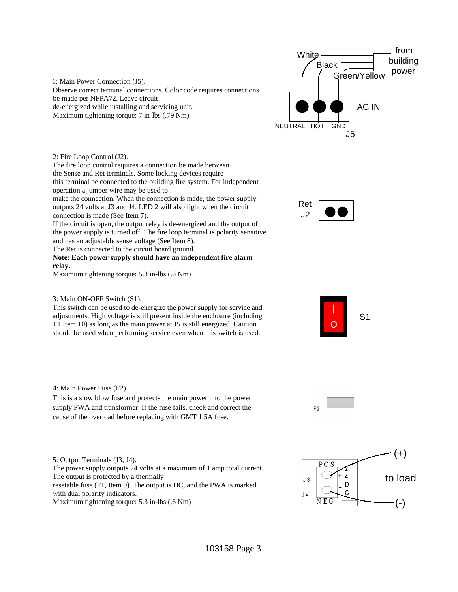1: Main Power Connection (J5). Observe correct terminal connections. Color code requires connections be made per NFPA72. Leave circuit de-energized while installing and servicing unit. Maximum tightening torque: 7 in-lbs (.79 Nm)



2: Fire Loop Control (J2).

The fire loop control requires a connection be made between the Sense and Ret terminals. Some locking devices require this terminal be connected to the building fire system. For independent operation a jumper wire may be used to

make the connection. When the connection is made, the power supply outputs 24 volts at J3 and J4. LED 2 will also light when the circuit connection is made (See Item 7).

If the circuit is open, the output relay is de-energized and the output of the power supply is turned off. The fire loop terminal is polarity sensitive and has an adjustable sense voltage (See Item 8).

The Ret is connected to the circuit board ground.

**Note: Each power supply should have an independent fire alarm relay.**

Maximum tightening torque: 5.3 in-lbs (.6 Nm)



This switch can be used to de-energize the power supply for service and adjustments. High voltage is still present inside the enclosure (including T1 Item 10) as long as the main power at J5 is still energized. Caution should be used when performing service even when this switch is used.









4: Main Power Fuse (F2).

This is a slow blow fuse and protects the main power into the power supply PWA and transformer. If the fuse fails, check and correct the cause of the overload before replacing with GMT 1.5A fuse.

5: Output Terminals (J3, J4). The power supply outputs 24 volts at a maximum of 1 amp total current. The output is protected by a thermally resetable fuse (F1, Item 9). The output is DC, and the PWA is marked with dual polarity indicators. Maximum tightening torque: 5.3 in-lbs (.6 Nm)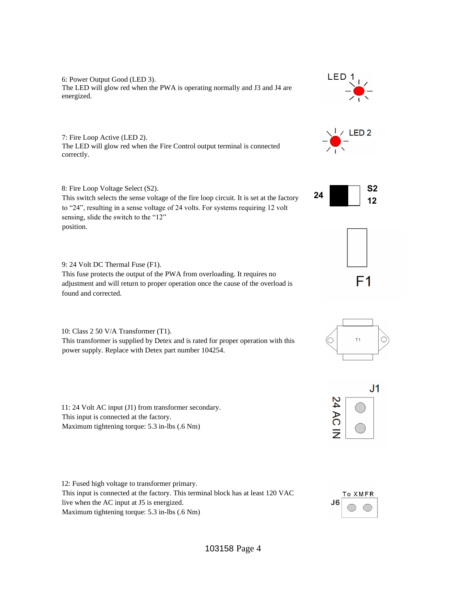6: Power Output Good (LED 3). The LED will glow red when the PWA is operating normally and J3 and J4 are energized.

7: Fire Loop Active (LED 2). The LED will glow red when the Fire Control output terminal is connected correctly.

8: Fire Loop Voltage Select (S2).

This switch selects the sense voltage of the fire loop circuit. It is set at the factory to "24", resulting in a sense voltage of 24 volts. For systems requiring 12 volt sensing, slide the switch to the "12" position.

9: 24 Volt DC Thermal Fuse (F1).

This fuse protects the output of the PWA from overloading. It requires no adjustment and will return to proper operation once the cause of the overload is found and corrected.

10: Class 2 50 V/A Transformer (T1). This transformer is supplied by Detex and is rated for proper operation with this power supply. Replace with Detex part number 104254.

11: 24 Volt AC input (J1) from transformer secondary. This input is connected at the factory. Maximum tightening torque: 5.3 in-lbs (.6 Nm)

12: Fused high voltage to transformer primary. This input is connected at the factory. This terminal block has at least 120 VAC live when the AC input at J5 is energized. Maximum tightening torque: 5.3 in-lbs (.6 Nm)













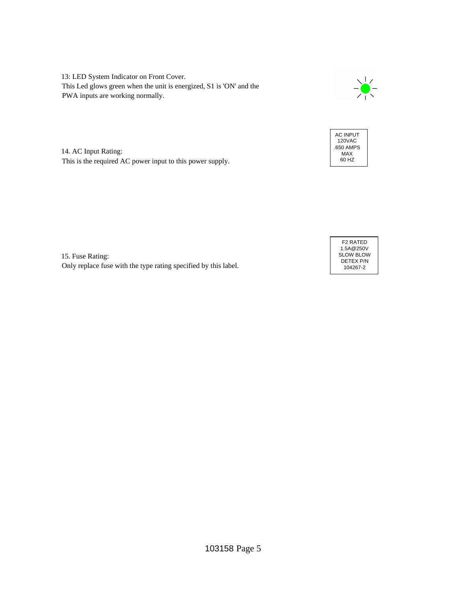13: LED System Indicator on Front Cover. This Led glows green when the unit is energized, S1 is 'ON' and the PWA inputs are working normally.





14. AC Input Rating: This is the required AC power input to this power supply.

15. Fuse Rating: Only replace fuse with the type rating specified by this label.

F2 RATED 1.5A@250V SLOW BLOW DETEX P/N 104267-2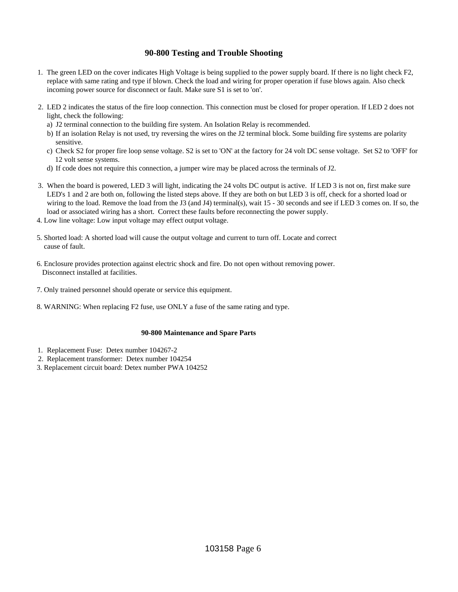### **90-800 Testing and Trouble Shooting**

- 1. The green LED on the cover indicates High Voltage is being supplied to the power supply board. If there is no light check F2, replace with same rating and type if blown. Check the load and wiring for proper operation if fuse blows again. Also check incoming power source for disconnect or fault. Make sure S1 is set to 'on'.
- 2. LED 2 indicates the status of the fire loop connection. This connection must be closed for proper operation. If LED 2 does not light, check the following:
	- a) J2 terminal connection to the building fire system. An Isolation Relay is recommended.
	- b) If an isolation Relay is not used, try reversing the wires on the J2 terminal block. Some building fire systems are polarity sensitive.
	- c) Check S2 for proper fire loop sense voltage. S2 is set to 'ON' at the factory for 24 volt DC sense voltage. Set S2 to 'OFF' for 12 volt sense systems.
	- d) If code does not require this connection, a jumper wire may be placed across the terminals of J2.
- 3. When the board is powered, LED 3 will light, indicating the 24 volts DC output is active. If LED 3 is not on, first make sure LED's 1 and 2 are both on, following the listed steps above. If they are both on but LED 3 is off, check for a shorted load or wiring to the load. Remove the load from the J3 (and J4) terminal(s), wait 15 - 30 seconds and see if LED 3 comes on. If so, the load or associated wiring has a short. Correct these faults before reconnecting the power supply.
- 4. Low line voltage: Low input voltage may effect output voltage.
- 5. Shorted load: A shorted load will cause the output voltage and current to turn off. Locate and correct cause of fault.
- 6. Enclosure provides protection against electric shock and fire. Do not open without removing power. Disconnect installed at facilities.
- 7. Only trained personnel should operate or service this equipment.
- 8. WARNING: When replacing F2 fuse, use ONLY a fuse of the same rating and type.

#### **90-800 Maintenance and Spare Parts**

- 1. Replacement Fuse: Detex number 104267-2
- 2. Replacement transformer: Detex number 104254
- 3. Replacement circuit board: Detex number PWA 104252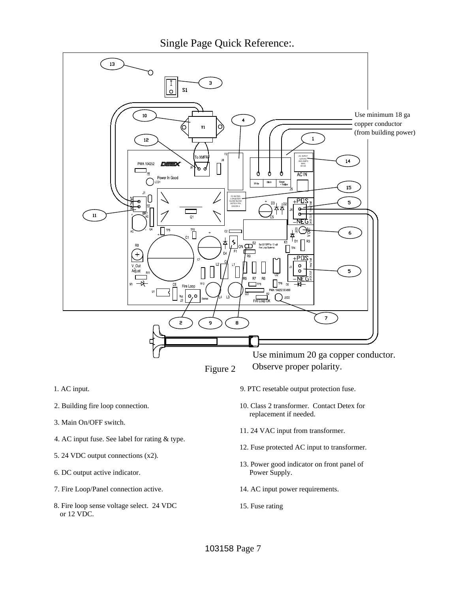Single Page Quick Reference:.



- 1. AC input.
- 2. Building fire loop connection.
- 3. Main On/OFF switch.
- 4. AC input fuse. See label for rating & type.
- 5. 24 VDC output connections (x2).
- 6. DC output active indicator.
- 7. Fire Loop/Panel connection active.
- 8. Fire loop sense voltage select. 24 VDC or 12 VDC.
- 9. PTC resetable output protection fuse.
- 10. Class 2 transformer. Contact Detex for replacement if needed.
- 11. 24 VAC input from transformer.
- 12. Fuse protected AC input to transformer.
- 13. Power good indicator on front panel of Power Supply.
- 14. AC input power requirements.
- 15. Fuse rating